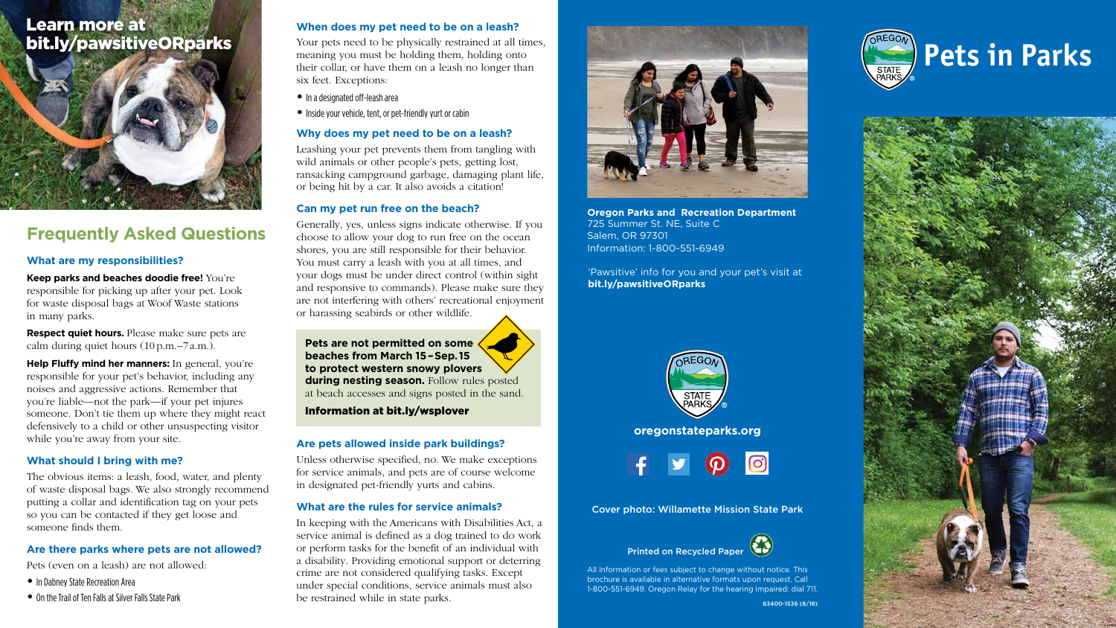# **Pets in Parks**







# **Frequently Asked Questions**

### **What are my responsibilities?**

**Keep parks and beaches doodie free!** You're responsible for picking up after your pet. Look for waste disposal bags at Woof Waste stations in many parks.

**Respect quiet hours.** Please make sure pets are calm during quiet hours (10 p.m.–7 a.m.).

**Help Fluffy mind her manners:** In general, you're responsible for your pet's behavior, including any noises and aggressive actions. Remember that you're liable—not the park—if your pet injures someone. Don't tie them up where they might react defensively to a child or other unsuspecting visitor while you're away from your site.

### **What should I bring with me?**

The obvious items: a leash, food, water, and plenty of waste disposal bags. We also strongly recommend putting a collar and identification tag on your pets so you can be contacted if they get loose and someone finds them.

### **Are there parks where pets are not allowed?**

Pets (even on a leash) are not allowed:

- **•** In Dabney State Recreation Area
- **•** On the Trail of Ten Falls at Silver Falls State Park

### **When does my pet need to be on a leash?**

Your pets need to be physically restrained at all times, meaning you must be holding them, holding onto their collar, or have them on a leash no longer than six feet. Exceptions:

- **•** In a designated off-leash area
- **•** Inside your vehicle, tent, or pet-friendly yurt or cabin

### **Why does my pet need to be on a leash?**

Leashing your pet prevents them from tangling with wild animals or other people's pets, getting lost, ransacking campground garbage, damaging plant life, or being hit by a car. It also avoids a citation!

### **Can my pet run free on the beach?**

Generally, yes, unless signs indicate otherwise. If you choose to allow your dog to run free on the ocean shores, you are still responsible for their behavior. You must carry a leash with you at all times, and your dogs must be under direct control (within sight and responsive to commands). Please make sure they are not interfering with others' recreational enjoyment or harassing seabirds or other wildlife.

**Pets are not permitted on some beaches from March 15 – Sep. 15 to protect western snowy plovers during nesting season.** Follow rules posted at beach accesses and signs posted in the sand.

Information at bit.ly/wsplover

### **Are pets allowed inside park buildings?**

Unless otherwise specified, no. We make exceptions for service animals, and pets are of course welcome in designated pet-friendly yurts and cabins.

### **What are the rules for service animals?**

In keeping with the Americans with Disabilities Act, a service animal is defined as a dog trained to do work or perform tasks for the benefit of an individual with a disability. Providing emotional support or deterring crime are not considered qualifying tasks. Except under special conditions, service animals must also be restrained while in state parks.



**Oregon Parks and Recreation Department** 725 Summer St. NE, Suite C Salem, OR 97301 Information: 1-800-551-6949

![](_page_0_Picture_34.jpeg)

All information or fees subject to change without notice. This brochure is available in alternative formats upon request. Call 1-800-551-6949. Oregon Relay for the hearing impaired: dial 711.

**oregonstateparks.org**

![](_page_0_Picture_32.jpeg)

# Learn more at bit.ly/pawsitiveORparks

![](_page_0_Picture_1.jpeg)

'Pawsitive' info for you and your pet's visit at **bit.ly/pawsitiveORparks**

![](_page_0_Picture_30.jpeg)

Cover photo: Willamette Mission State Park